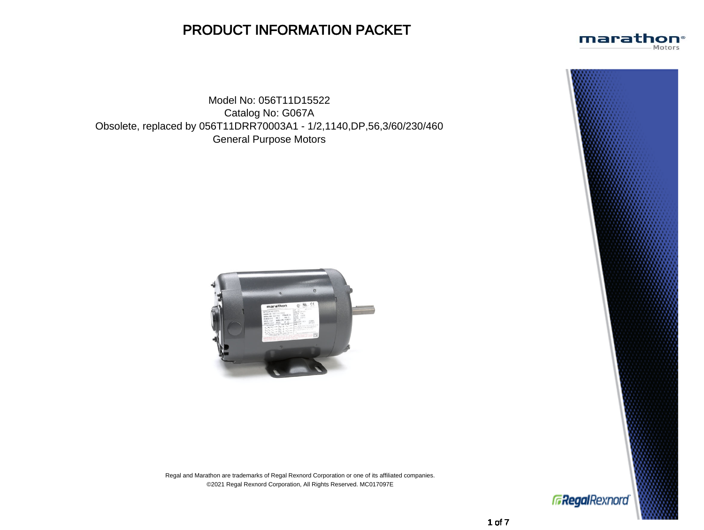## PRODUCT INFORMATION PACKET

Model No: 056T11D15522 Catalog No: G067A Obsolete, replaced by 056T11DRR70003A1 - 1/2,1140,DP,56,3/60/230/460 General Purpose Motors



Regal and Marathon are trademarks of Regal Rexnord Corporation or one of its affiliated companies. ©2021 Regal Rexnord Corporation, All Rights Reserved. MC017097E



marathon® Motors

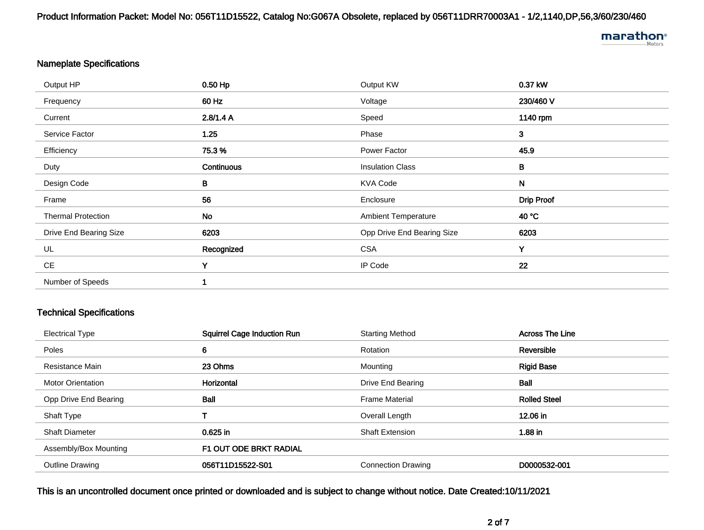Product Information Packet: Model No: 056T11D15522, Catalog No:G067A Obsolete, replaced by 056T11DRR70003A1 - 1/2,1140,DP,56,3/60/230/460

# marathon<sup>®</sup>

## Nameplate Specifications

| Output HP                 | 0.50 Hp    | Output KW                  | 0.37 kW           |
|---------------------------|------------|----------------------------|-------------------|
| Frequency                 | 60 Hz      | Voltage                    | 230/460 V         |
| Current                   | 2.8/1.4 A  | Speed                      | 1140 rpm          |
| Service Factor            | 1.25       | Phase                      | $\mathbf{3}$      |
| Efficiency                | 75.3%      | Power Factor               | 45.9              |
| Duty                      | Continuous | <b>Insulation Class</b>    | B                 |
| Design Code               | B          | <b>KVA Code</b>            | $\mathsf{N}$      |
| Frame                     | 56         | Enclosure                  | <b>Drip Proof</b> |
| <b>Thermal Protection</b> | <b>No</b>  | <b>Ambient Temperature</b> | 40 °C             |
| Drive End Bearing Size    | 6203       | Opp Drive End Bearing Size | 6203              |
| UL                        | Recognized | <b>CSA</b>                 | Y                 |
| CE                        | Y          | IP Code                    | 22                |
| Number of Speeds          |            |                            |                   |

## Technical Specifications

| <b>Electrical Type</b>   | <b>Squirrel Cage Induction Run</b> | <b>Starting Method</b>    | <b>Across The Line</b> |
|--------------------------|------------------------------------|---------------------------|------------------------|
| Poles                    | 6                                  | Rotation                  | Reversible             |
| Resistance Main          | 23 Ohms                            | Mounting                  | <b>Rigid Base</b>      |
| <b>Motor Orientation</b> | Horizontal                         | Drive End Bearing         | <b>Ball</b>            |
| Opp Drive End Bearing    | Ball                               | <b>Frame Material</b>     | <b>Rolled Steel</b>    |
| Shaft Type               |                                    | Overall Length            | 12.06 in               |
| <b>Shaft Diameter</b>    | $0.625$ in                         | <b>Shaft Extension</b>    | 1.88 in                |
| Assembly/Box Mounting    | F1 OUT ODE BRKT RADIAL             |                           |                        |
| <b>Outline Drawing</b>   | 056T11D15522-S01                   | <b>Connection Drawing</b> | D0000532-001           |

## This is an uncontrolled document once printed or downloaded and is subject to change without notice. Date Created:10/11/2021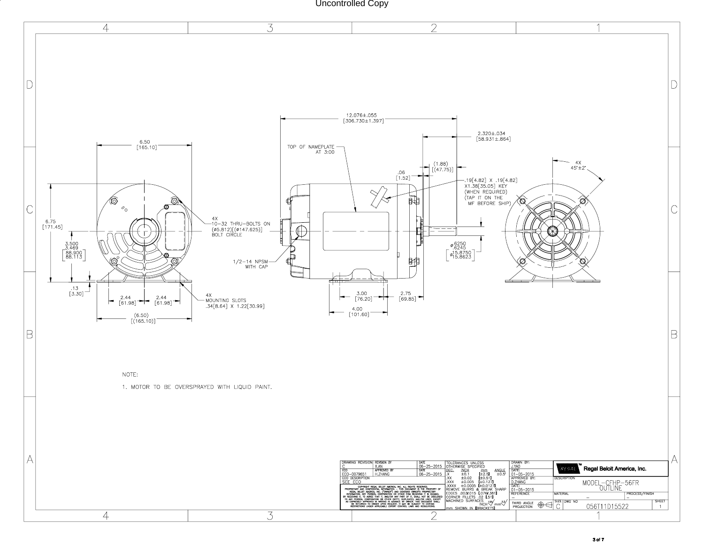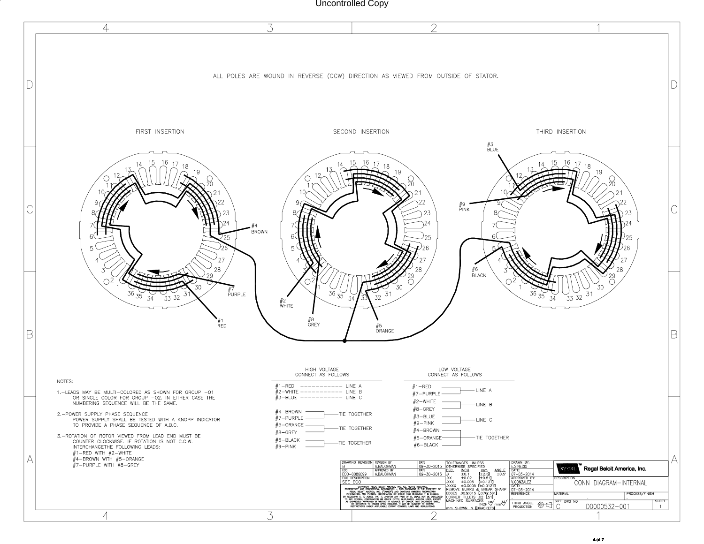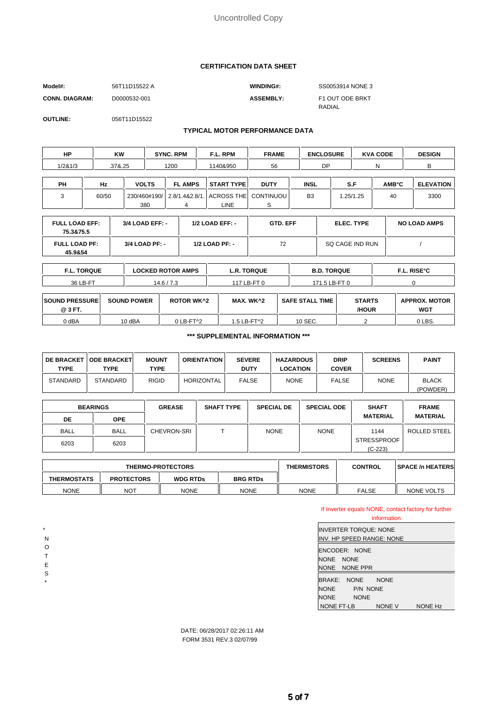#### **CERTIFICATION DATA SHEET**

| Model#:               | 56T11D15522 A | <b>WINDING#:</b> | SS0053914 NONE 3 |
|-----------------------|---------------|------------------|------------------|
| <b>CONN. DIAGRAM:</b> | D0000532-001  | <b>ASSEMBLY:</b> | F1 OUT ODE BRKT  |
|                       |               |                  | RADIAL           |

**OUTLINE:** 056T11D15522

#### **TYPICAL MOTOR PERFORMANCE DATA**

| НP      | <b>KW</b> |              | <b>SYNC. RPM</b> | F.L. RPM                            | <b>FRAME</b> | <b>ENCLOSURE</b> |     |          | <b>KVA CODE</b> | <b>DESIGN</b>    |
|---------|-----------|--------------|------------------|-------------------------------------|--------------|------------------|-----|----------|-----------------|------------------|
| 1/281/3 | .37&.25   |              | 1200             | 1140&950                            | 56           | DP               |     |          | N               | в                |
|         |           |              |                  |                                     |              |                  |     |          |                 |                  |
| PH      | Hz        | <b>VOLTS</b> | <b>FL AMPS</b>   | <b>START TYPE</b>                   | <b>DUTY</b>  | <b>INSL</b>      | S.F |          | <b>AMB°C</b>    | <b>ELEVATION</b> |
| 3       | 60/50     | 230/460#190/ |                  | 2.8/1.4&2.8/1. ACROSS THE CONTINUOU |              | B <sub>3</sub>   |     | .25/1.25 | 40              | 3300             |
|         |           | 380          |                  | LINE .                              |              |                  |     |          |                 |                  |

| <b>FULL LOAD EFF:</b><br>75.3&75.5 | 3/4 LOAD EFF: -  | $1/2$ LOAD EFF: - | <b>GTD. EFF</b> | <b>ELEC. TYPE</b> | <b>NO LOAD AMPS</b> |
|------------------------------------|------------------|-------------------|-----------------|-------------------|---------------------|
| <b>FULL LOAD PF:</b><br>45.9&54    | $3/4$ LOAD PF: - | $1/2$ LOAD PF: -  | 72              | SQ CAGE IND RUN   |                     |

| <b>F.L. TORQUE</b>    |                    | <b>LOCKED ROTOR AMPS</b> | <b>L.R. TORQUE</b> | <b>B.D. TORQUE</b>     |               | <b>F.L. RISE°C</b>   |
|-----------------------|--------------------|--------------------------|--------------------|------------------------|---------------|----------------------|
| 36 LB-FT              |                    | 14.6/7.3                 | 117 LB-FT 0        | 171.5 LB-FT 0          |               |                      |
| <b>SOUND PRESSURE</b> | <b>SOUND POWER</b> | <b>ROTOR WK^2</b>        | MAX. WK^2          | <b>SAFE STALL TIME</b> | <b>STARTS</b> | <b>APPROX. MOTOR</b> |

| <b>ISOUND PRESSURE</b><br>@ 3 FT. | <b>SOUND POWER</b> | ROTOR WK^2              | MAX. WK^2   | <b>SAFE STALL</b><br><b>TIME</b> | <b>STARTS</b><br>/HOUR | APPROX. MOTOR<br>WGT |
|-----------------------------------|--------------------|-------------------------|-------------|----------------------------------|------------------------|----------------------|
| 0 dBA                             | 10 dBA             | $0$ LB-FT $^{\prime}$ 2 | 1.5 LB-FT^2 | 10 SEC.                          |                        | 0 LBS.               |

#### **\*\*\* SUPPLEMENTAL INFORMATION \*\*\***

| <b>TYPE</b>     | <b>DE BRACKET   ODE BRACKET </b><br>TYPE | <b>MOUNT</b><br>TYPE | <b>ORIENTATION</b> | <b>SEVERE</b><br><b>DUTY</b> | <b>HAZARDOUS</b><br>LOCATION | <b>DRIP</b><br><b>COVER</b> | <b>SCREENS</b> | <b>PAINT</b>             |
|-----------------|------------------------------------------|----------------------|--------------------|------------------------------|------------------------------|-----------------------------|----------------|--------------------------|
| <b>STANDARD</b> | <b>STANDARD</b>                          | <b>RIGID</b>         | <b>HORIZONTAL</b>  | <b>FALSE</b>                 | <b>NONE</b>                  | <b>FALSE</b>                | <b>NONE</b>    | <b>BLACK</b><br>(POWDER) |

| <b>BEARINGS</b> |             | <b>GREASE</b> | <b>SHAFT TYPE</b> | <b>SPECIAL DE</b> | <b>SPECIAL ODE</b> | <b>SHAFT</b>       | <b>FRAME</b>    |
|-----------------|-------------|---------------|-------------------|-------------------|--------------------|--------------------|-----------------|
| DE              | <b>OPE</b>  |               |                   |                   |                    | <b>MATERIAL</b>    | <b>MATERIAL</b> |
| <b>BALL</b>     | <b>BALL</b> | CHEVRON-SRI   |                   | <b>NONE</b>       | <b>NONE</b>        | 1144               | ROLLED STEEL    |
| 6203            | 6203        |               |                   |                   |                    | <b>STRESSPROOF</b> |                 |
|                 |             |               |                   |                   |                    | $(C-223)$          |                 |

| <b>THERMO-PROTECTORS</b> |                   |                                    | <b>THERMISTORS</b> | <b>CONTROL</b> | <b>SPACE /n HEATERS</b> |            |
|--------------------------|-------------------|------------------------------------|--------------------|----------------|-------------------------|------------|
| <b>THERMOSTATS</b>       | <b>PROTECTORS</b> | <b>BRG RTDs</b><br><b>WDG RTDs</b> |                    |                |                         |            |
| <b>NONE</b>              | NOT               | <b>NONE</b>                        | <b>NONE</b>        | <b>NONE</b>    | <b>FALSE</b>            | NONE VOLTS |

If Inverter equals NONE, contact factory for further

|                                                                                              | information |                |  |  |  |
|----------------------------------------------------------------------------------------------|-------------|----------------|--|--|--|
| IINVERTER TOROUE: NONE<br>IINV. HP SPEED RANGE: NONE                                         |             |                |  |  |  |
| ENCODER: NONE<br>NONE NONE<br>NONE NONE PPR                                                  |             |                |  |  |  |
| <b>BRAKE:</b><br><b>NONE</b><br><b>NONE</b><br><b>P/N NONE</b><br><b>NONE</b><br><b>NONE</b> | <b>NONE</b> |                |  |  |  |
| NONE FT-LB                                                                                   | NONE V      | <b>NONE Hz</b> |  |  |  |

DATE: 06/28/2017 02:26:11 AM FORM 3531 REV.3 02/07/99

 N O

\*

 T E

- S
- \*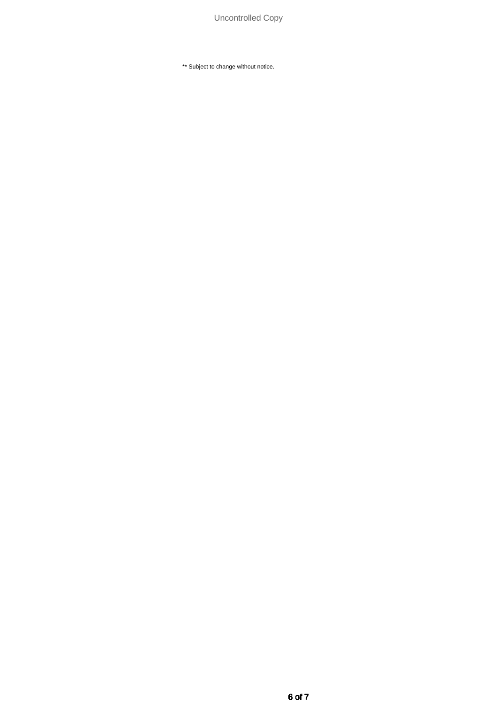\*\* Subject to change without notice.